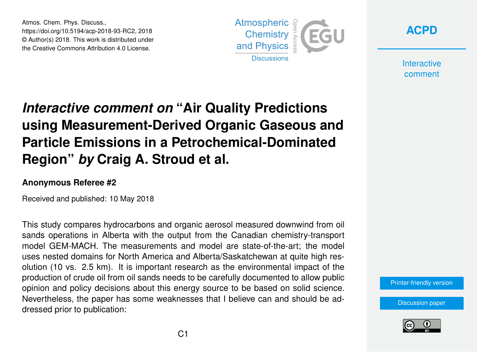Atmos. Chem. Phys. Discuss., https://doi.org/10.5194/acp-2018-93-RC2, 2018 © Author(s) 2018. This work is distributed under the Creative Commons Attribution 4.0 License.





**Interactive** comment

## *Interactive comment on* **"Air Quality Predictions using Measurement-Derived Organic Gaseous and Particle Emissions in a Petrochemical-Dominated Region"** *by* **Craig A. Stroud et al.**

## **Anonymous Referee #2**

Received and published: 10 May 2018

This study compares hydrocarbons and organic aerosol measured downwind from oil sands operations in Alberta with the output from the Canadian chemistry-transport model GEM-MACH. The measurements and model are state-of-the-art; the model uses nested domains for North America and Alberta/Saskatchewan at quite high resolution (10 vs. 2.5 km). It is important research as the environmental impact of the production of crude oil from oil sands needs to be carefully documented to allow public opinion and policy decisions about this energy source to be based on solid science. Nevertheless, the paper has some weaknesses that I believe can and should be addressed prior to publication:

[Printer-friendly version](https://www.atmos-chem-phys-discuss.net/acp-2018-93/acp-2018-93-RC2-print.pdf)

[Discussion paper](https://www.atmos-chem-phys-discuss.net/acp-2018-93)

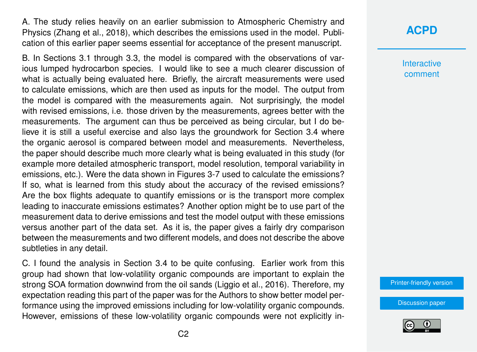A. The study relies heavily on an earlier submission to Atmospheric Chemistry and Physics (Zhang et al., 2018), which describes the emissions used in the model. Publication of this earlier paper seems essential for acceptance of the present manuscript.

B. In Sections 3.1 through 3.3, the model is compared with the observations of various lumped hydrocarbon species. I would like to see a much clearer discussion of what is actually being evaluated here. Briefly, the aircraft measurements were used to calculate emissions, which are then used as inputs for the model. The output from the model is compared with the measurements again. Not surprisingly, the model with revised emissions, i.e. those driven by the measurements, agrees better with the measurements. The argument can thus be perceived as being circular, but I do believe it is still a useful exercise and also lays the groundwork for Section 3.4 where the organic aerosol is compared between model and measurements. Nevertheless, the paper should describe much more clearly what is being evaluated in this study (for example more detailed atmospheric transport, model resolution, temporal variability in emissions, etc.). Were the data shown in Figures 3-7 used to calculate the emissions? If so, what is learned from this study about the accuracy of the revised emissions? Are the box flights adequate to quantify emissions or is the transport more complex leading to inaccurate emissions estimates? Another option might be to use part of the measurement data to derive emissions and test the model output with these emissions versus another part of the data set. As it is, the paper gives a fairly dry comparison between the measurements and two different models, and does not describe the above subtleties in any detail.

C. I found the analysis in Section 3.4 to be quite confusing. Earlier work from this group had shown that low-volatility organic compounds are important to explain the strong SOA formation downwind from the oil sands (Liggio et al., 2016). Therefore, my expectation reading this part of the paper was for the Authors to show better model performance using the improved emissions including for low-volatility organic compounds. However, emissions of these low-volatility organic compounds were not explicitly in-

## **[ACPD](https://www.atmos-chem-phys-discuss.net/)**

**Interactive** comment

[Printer-friendly version](https://www.atmos-chem-phys-discuss.net/acp-2018-93/acp-2018-93-RC2-print.pdf)

[Discussion paper](https://www.atmos-chem-phys-discuss.net/acp-2018-93)